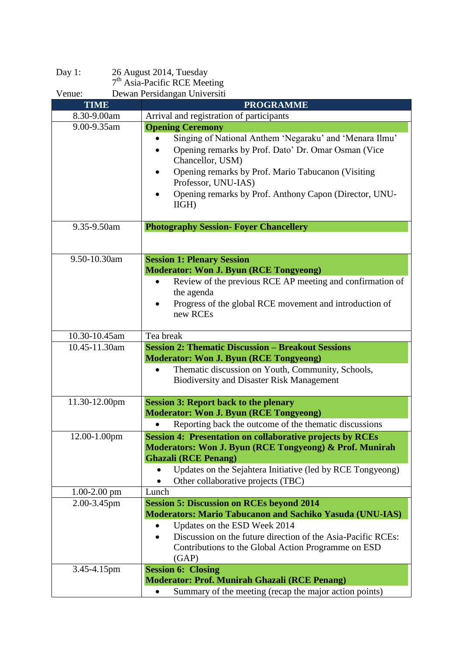| Day $1$ :                                                                | 26 August 2014, Tuesday                                                                                                                                                                                                                                                            |
|--------------------------------------------------------------------------|------------------------------------------------------------------------------------------------------------------------------------------------------------------------------------------------------------------------------------------------------------------------------------|
| 7 <sup>th</sup> Asia-Pacific RCE Meeting<br>Dewan Persidangan Universiti |                                                                                                                                                                                                                                                                                    |
| Venue:<br><b>TIME</b>                                                    | <b>PROGRAMME</b>                                                                                                                                                                                                                                                                   |
| 8.30-9.00am                                                              | Arrival and registration of participants                                                                                                                                                                                                                                           |
| 9.00-9.35am                                                              | <b>Opening Ceremony</b>                                                                                                                                                                                                                                                            |
|                                                                          | Singing of National Anthem 'Negaraku' and 'Menara Ilmu'<br>Opening remarks by Prof. Dato' Dr. Omar Osman (Vice<br>Chancellor, USM)<br>Opening remarks by Prof. Mario Tabucanon (Visiting<br>Professor, UNU-IAS)<br>Opening remarks by Prof. Anthony Capon (Director, UNU-<br>IIGH) |
| 9.35-9.50am                                                              | <b>Photography Session- Foyer Chancellery</b>                                                                                                                                                                                                                                      |
|                                                                          |                                                                                                                                                                                                                                                                                    |
| 9.50-10.30am                                                             | <b>Session 1: Plenary Session</b>                                                                                                                                                                                                                                                  |
|                                                                          | <b>Moderator: Won J. Byun (RCE Tongyeong)</b>                                                                                                                                                                                                                                      |
|                                                                          | Review of the previous RCE AP meeting and confirmation of                                                                                                                                                                                                                          |
|                                                                          | the agenda                                                                                                                                                                                                                                                                         |
|                                                                          | Progress of the global RCE movement and introduction of<br>new RCEs                                                                                                                                                                                                                |
| 10.30-10.45am                                                            | Tea break                                                                                                                                                                                                                                                                          |
| 10.45-11.30am                                                            | <b>Session 2: Thematic Discussion - Breakout Sessions</b>                                                                                                                                                                                                                          |
|                                                                          | <b>Moderator: Won J. Byun (RCE Tongyeong)</b>                                                                                                                                                                                                                                      |
|                                                                          | Thematic discussion on Youth, Community, Schools,<br><b>Biodiversity and Disaster Risk Management</b>                                                                                                                                                                              |
| 11.30-12.00pm                                                            | <b>Session 3: Report back to the plenary</b>                                                                                                                                                                                                                                       |
|                                                                          | <b>Moderator: Won J. Byun (RCE Tongyeong)</b>                                                                                                                                                                                                                                      |
|                                                                          | Reporting back the outcome of the thematic discussions                                                                                                                                                                                                                             |
| 12.00-1.00pm                                                             | <b>Session 4: Presentation on collaborative projects by RCEs</b>                                                                                                                                                                                                                   |
|                                                                          | Moderators: Won J. Byun (RCE Tongyeong) & Prof. Munirah                                                                                                                                                                                                                            |
|                                                                          | <b>Ghazali (RCE Penang)</b>                                                                                                                                                                                                                                                        |
|                                                                          | Updates on the Sejahtera Initiative (led by RCE Tongyeong)<br>Other collaborative projects (TBC)                                                                                                                                                                                   |
| $1.00 - 2.00$ pm                                                         | Lunch                                                                                                                                                                                                                                                                              |
| 2.00-3.45pm                                                              | <b>Session 5: Discussion on RCEs beyond 2014</b>                                                                                                                                                                                                                                   |
|                                                                          | <b>Moderators: Mario Tabucanon and Sachiko Yasuda (UNU-IAS)</b>                                                                                                                                                                                                                    |
|                                                                          | Updates on the ESD Week 2014                                                                                                                                                                                                                                                       |
|                                                                          | Discussion on the future direction of the Asia-Pacific RCEs:<br>$\bullet$                                                                                                                                                                                                          |
|                                                                          | Contributions to the Global Action Programme on ESD<br>(GAP)                                                                                                                                                                                                                       |
| 3.45-4.15pm                                                              | <b>Session 6: Closing</b>                                                                                                                                                                                                                                                          |
|                                                                          | <b>Moderator: Prof. Munirah Ghazali (RCE Penang)</b>                                                                                                                                                                                                                               |
|                                                                          | Summary of the meeting (recap the major action points)<br>$\bullet$                                                                                                                                                                                                                |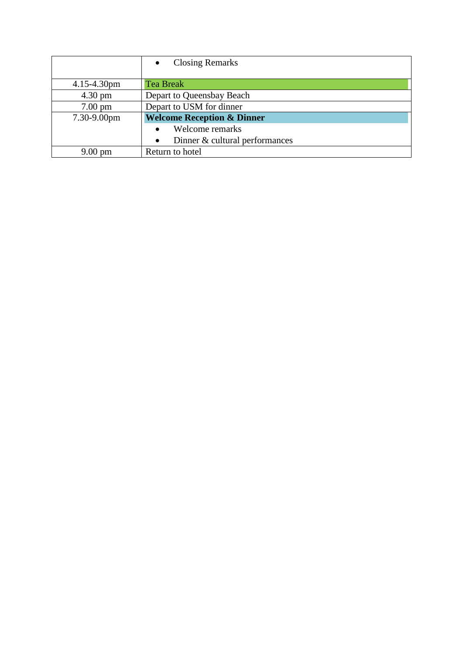|                   | <b>Closing Remarks</b>                |
|-------------------|---------------------------------------|
|                   |                                       |
| $4.15 - 4.30$ pm  | <b>Tea Break</b>                      |
| $4.30 \text{ pm}$ | Depart to Queensbay Beach             |
| $7.00 \text{ pm}$ | Depart to USM for dinner              |
| 7.30-9.00pm       | <b>Welcome Reception &amp; Dinner</b> |
|                   | Welcome remarks                       |
|                   | Dinner & cultural performances        |
| $9.00 \text{ pm}$ | Return to hotel                       |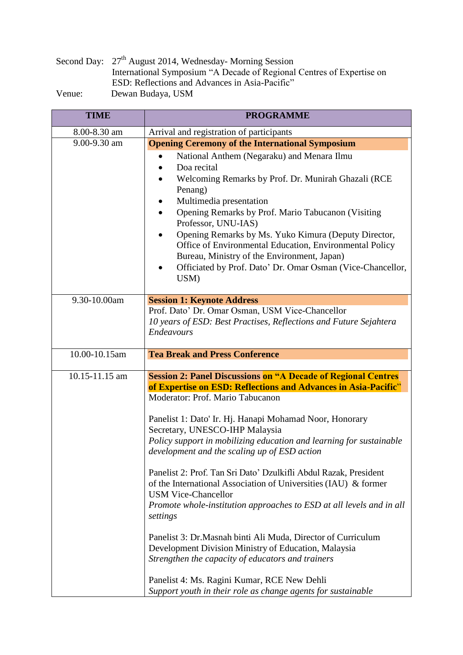|        | Second Day: 27 <sup>th</sup> August 2014, Wednesday- Morning Session  |  |
|--------|-----------------------------------------------------------------------|--|
|        | International Symposium "A Decade of Regional Centres of Expertise on |  |
|        | ESD: Reflections and Advances in Asia-Pacific"                        |  |
| Venue: | Dewan Budaya, USM                                                     |  |

| <b>TIME</b>    | <b>PROGRAMME</b>                                                                                                                                                           |
|----------------|----------------------------------------------------------------------------------------------------------------------------------------------------------------------------|
| 8.00-8.30 am   | Arrival and registration of participants                                                                                                                                   |
| 9.00-9.30 am   | <b>Opening Ceremony of the International Symposium</b>                                                                                                                     |
|                | National Anthem (Negaraku) and Menara Ilmu<br>Doa recital                                                                                                                  |
|                | Welcoming Remarks by Prof. Dr. Munirah Ghazali (RCE<br>Penang)                                                                                                             |
|                | Multimedia presentation                                                                                                                                                    |
|                | Opening Remarks by Prof. Mario Tabucanon (Visiting)<br>Professor, UNU-IAS)                                                                                                 |
|                | Opening Remarks by Ms. Yuko Kimura (Deputy Director,                                                                                                                       |
|                | Office of Environmental Education, Environmental Policy                                                                                                                    |
|                | Bureau, Ministry of the Environment, Japan)                                                                                                                                |
|                | Officiated by Prof. Dato' Dr. Omar Osman (Vice-Chancellor,<br>USM)                                                                                                         |
| 9.30-10.00am   | <b>Session 1: Keynote Address</b>                                                                                                                                          |
|                | Prof. Dato' Dr. Omar Osman, USM Vice-Chancellor                                                                                                                            |
|                | 10 years of ESD: Best Practises, Reflections and Future Sejahtera                                                                                                          |
|                | Endeavours                                                                                                                                                                 |
| 10.00-10.15am  | <b>Tea Break and Press Conference</b>                                                                                                                                      |
| 10.15-11.15 am | <b>Session 2: Panel Discussions on "A Decade of Regional Centres"</b>                                                                                                      |
|                | of Expertise on ESD: Reflections and Advances in Asia-Pacific"<br>Moderator: Prof. Mario Tabucanon                                                                         |
|                | Panelist 1: Dato' Ir. Hj. Hanapi Mohamad Noor, Honorary<br>Secretary, UNESCO-IHP Malaysia                                                                                  |
|                | Policy support in mobilizing education and learning for sustainable<br>development and the scaling up of ESD action                                                        |
|                | Panelist 2: Prof. Tan Sri Dato' Dzulkifli Abdul Razak, President<br>of the International Association of Universities (IAU) & former<br><b>USM Vice-Chancellor</b>          |
|                | Promote whole-institution approaches to ESD at all levels and in all<br>settings                                                                                           |
|                | Panelist 3: Dr. Masnah binti Ali Muda, Director of Curriculum<br>Development Division Ministry of Education, Malaysia<br>Strengthen the capacity of educators and trainers |
|                | Panelist 4: Ms. Ragini Kumar, RCE New Dehli<br>Support youth in their role as change agents for sustainable                                                                |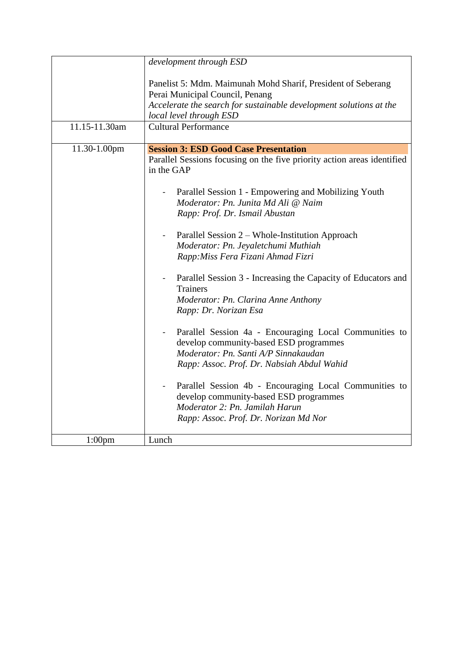|               | development through ESD                                                                                                                                                                                                                                                                                                                                                                                                                                                                                                                                                                                                                                                                                                                                                                                                                                                                                                                               |
|---------------|-------------------------------------------------------------------------------------------------------------------------------------------------------------------------------------------------------------------------------------------------------------------------------------------------------------------------------------------------------------------------------------------------------------------------------------------------------------------------------------------------------------------------------------------------------------------------------------------------------------------------------------------------------------------------------------------------------------------------------------------------------------------------------------------------------------------------------------------------------------------------------------------------------------------------------------------------------|
|               | Panelist 5: Mdm. Maimunah Mohd Sharif, President of Seberang<br>Perai Municipal Council, Penang<br>Accelerate the search for sustainable development solutions at the<br>local level through ESD                                                                                                                                                                                                                                                                                                                                                                                                                                                                                                                                                                                                                                                                                                                                                      |
| 11.15-11.30am | <b>Cultural Performance</b>                                                                                                                                                                                                                                                                                                                                                                                                                                                                                                                                                                                                                                                                                                                                                                                                                                                                                                                           |
| 11.30-1.00pm  | <b>Session 3: ESD Good Case Presentation</b><br>Parallel Sessions focusing on the five priority action areas identified<br>in the GAP<br>Parallel Session 1 - Empowering and Mobilizing Youth<br>$\blacksquare$<br>Moderator: Pn. Junita Md Ali @ Naim<br>Rapp: Prof. Dr. Ismail Abustan<br>Parallel Session 2 – Whole-Institution Approach<br>Moderator: Pn. Jeyaletchumi Muthiah<br>Rapp: Miss Fera Fizani Ahmad Fizri<br>Parallel Session 3 - Increasing the Capacity of Educators and<br><b>Trainers</b><br>Moderator: Pn. Clarina Anne Anthony<br>Rapp: Dr. Norizan Esa<br>Parallel Session 4a - Encouraging Local Communities to<br>develop community-based ESD programmes<br>Moderator: Pn. Santi A/P Sinnakaudan<br>Rapp: Assoc. Prof. Dr. Nabsiah Abdul Wahid<br>Parallel Session 4b - Encouraging Local Communities to<br>develop community-based ESD programmes<br>Moderator 2: Pn. Jamilah Harun<br>Rapp: Assoc. Prof. Dr. Norizan Md Nor |
| $1:00$ pm     | Lunch                                                                                                                                                                                                                                                                                                                                                                                                                                                                                                                                                                                                                                                                                                                                                                                                                                                                                                                                                 |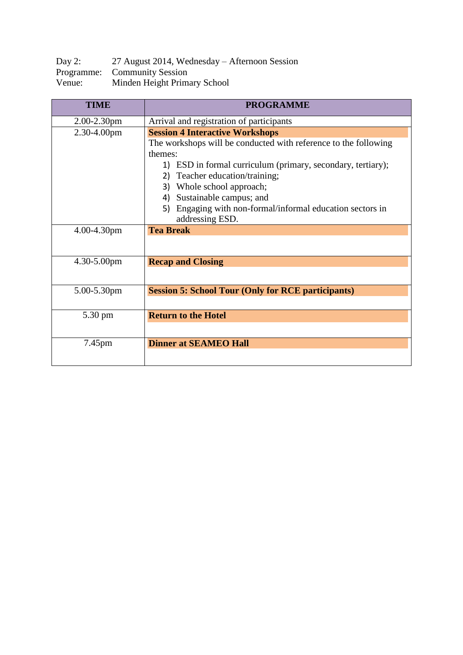| Day 2: | 27 August 2014, Wednesday – Afternoon Session |
|--------|-----------------------------------------------|
|        | Programme: Community Session                  |
| Venue: | Minden Height Primary School                  |

| <b>TIME</b>      | <b>PROGRAMME</b>                                                |
|------------------|-----------------------------------------------------------------|
| $2.00 - 2.30$ pm | Arrival and registration of participants                        |
| $2.30 - 4.00$ pm | <b>Session 4 Interactive Workshops</b>                          |
|                  | The workshops will be conducted with reference to the following |
|                  | themes:                                                         |
|                  | 1) ESD in formal curriculum (primary, secondary, tertiary);     |
|                  | Teacher education/training;<br>2)                               |
|                  | Whole school approach;<br>3)                                    |
|                  | Sustainable campus; and<br>4)                                   |
|                  | Engaging with non-formal/informal education sectors in<br>5)    |
|                  | addressing ESD.                                                 |
| 4.00-4.30pm      | <b>Tea Break</b>                                                |
|                  |                                                                 |
| $4.30 - 5.00$ pm | <b>Recap and Closing</b>                                        |
|                  |                                                                 |
| 5.00-5.30pm      | <b>Session 5: School Tour (Only for RCE participants)</b>       |
|                  |                                                                 |
| 5.30 pm          | <b>Return to the Hotel</b>                                      |
|                  |                                                                 |
| 7.45pm           | <b>Dinner at SEAMEO Hall</b>                                    |
|                  |                                                                 |